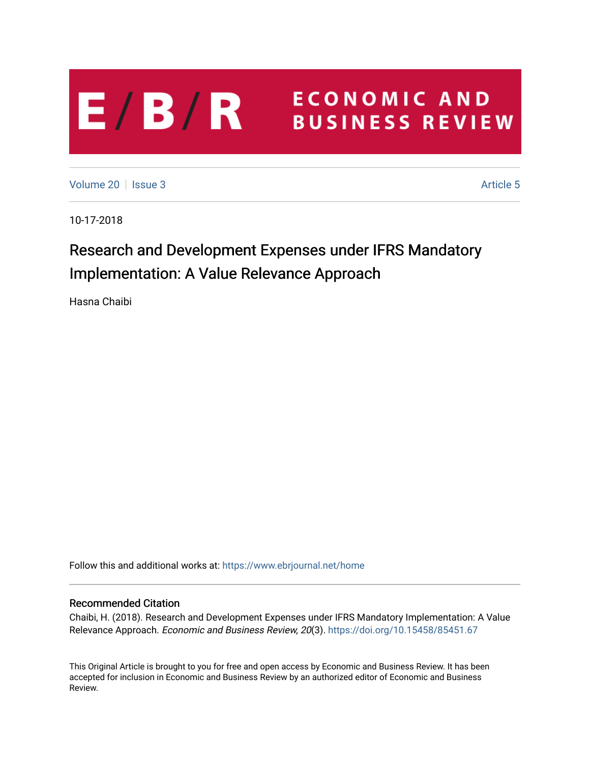## **ECONOMIC AND**  $E/B/R$ **BUSINESS REVIEW**

[Volume 20](https://www.ebrjournal.net/home/vol20) | [Issue 3](https://www.ebrjournal.net/home/vol20/iss3) Article 5

10-17-2018

# Research and Development Expenses under IFRS Mandatory Implementation: A Value Relevance Approach

Hasna Chaibi

Follow this and additional works at: [https://www.ebrjournal.net/home](https://www.ebrjournal.net/home?utm_source=www.ebrjournal.net%2Fhome%2Fvol20%2Fiss3%2F5&utm_medium=PDF&utm_campaign=PDFCoverPages) 

## Recommended Citation

Chaibi, H. (2018). Research and Development Expenses under IFRS Mandatory Implementation: A Value Relevance Approach. Economic and Business Review, 20(3). <https://doi.org/10.15458/85451.67>

This Original Article is brought to you for free and open access by Economic and Business Review. It has been accepted for inclusion in Economic and Business Review by an authorized editor of Economic and Business Review.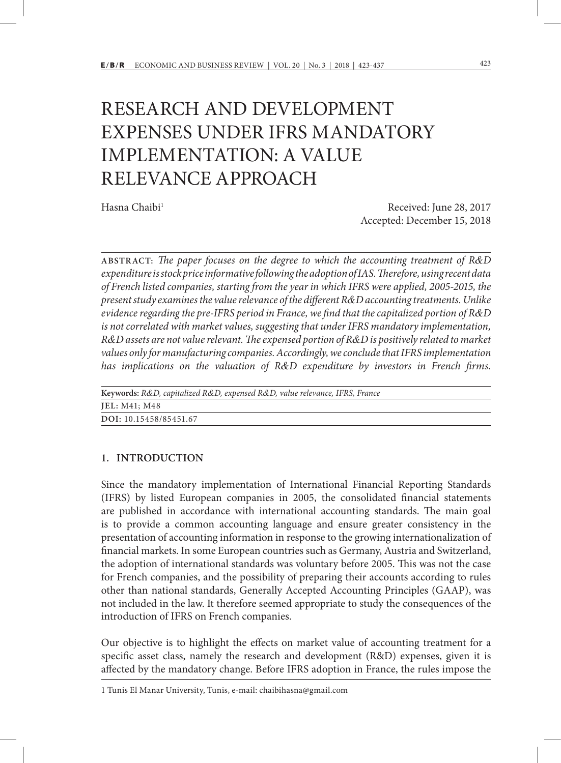# RESEARCH AND DEVELOPMENT EXPENSES UNDER IFRS MANDATORY IMPLEMENTATION: A VALUE RELEVANCE APPROACH

Hasna Chaibi<sup>1</sup> Received: June 28, 2017 Accepted: December 15, 2018

**ABSTRACT:** *The paper focuses on the degree to which the accounting treatment of R&D expenditure is stock price informative following the adoption of IAS. Therefore, using recent data of French listed companies, starting from the year in which IFRS were applied, 2005-2015, the present study examines the value relevance of the different R&D accounting treatments. Unlike evidence regarding the pre-IFRS period in France, we find that the capitalized portion of R&D is not correlated with market values, suggesting that under IFRS mandatory implementation, R&D assets are not value relevant. The expensed portion of R&D is positively related to market values only for manufacturing companies. Accordingly, we conclude that IFRS implementation has implications on the valuation of R&D expenditure by investors in French firms.* 

| Keywords: R&D, capitalized R&D, expensed R&D, value relevance, IFRS, France |  |  |  |  |
|-----------------------------------------------------------------------------|--|--|--|--|
| JEL: M41; M48                                                               |  |  |  |  |
| DOI: 10.15458/85451.67                                                      |  |  |  |  |

### **1. INTRODUCTION**

Since the mandatory implementation of International Financial Reporting Standards (IFRS) by listed European companies in 2005, the consolidated financial statements are published in accordance with international accounting standards. The main goal is to provide a common accounting language and ensure greater consistency in the presentation of accounting information in response to the growing internationalization of financial markets. In some European countries such as Germany, Austria and Switzerland, the adoption of international standards was voluntary before 2005. This was not the case for French companies, and the possibility of preparing their accounts according to rules other than national standards, Generally Accepted Accounting Principles (GAAP), was not included in the law. It therefore seemed appropriate to study the consequences of the introduction of IFRS on French companies.

Our objective is to highlight the effects on market value of accounting treatment for a specific asset class, namely the research and development (R&D) expenses, given it is affected by the mandatory change. Before IFRS adoption in France, the rules impose the

<sup>1</sup> Tunis El Manar University, Tunis, e-mail: chaibihasna@gmail.com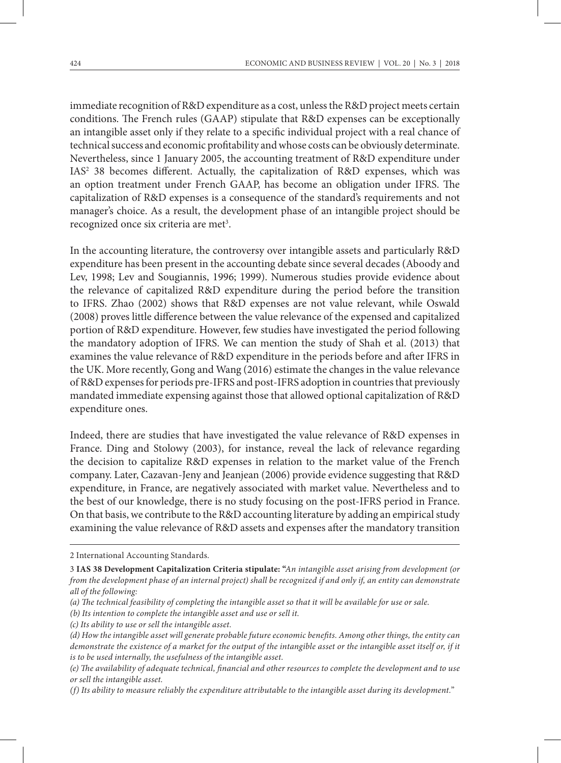immediate recognition of R&D expenditure as a cost, unless the R&D project meets certain conditions. The French rules (GAAP) stipulate that R&D expenses can be exceptionally an intangible asset only if they relate to a specific individual project with a real chance of technical success and economic profitability and whose costs can be obviously determinate. Nevertheless, since 1 January 2005, the accounting treatment of R&D expenditure under IAS<sup>2</sup> 38 becomes different. Actually, the capitalization of R&D expenses, which was an option treatment under French GAAP, has become an obligation under IFRS. The capitalization of R&D expenses is a consequence of the standard's requirements and not manager's choice. As a result, the development phase of an intangible project should be recognized once six criteria are met<sup>3</sup>.

In the accounting literature, the controversy over intangible assets and particularly R&D expenditure has been present in the accounting debate since several decades (Aboody and Lev, 1998; Lev and Sougiannis, 1996; 1999). Numerous studies provide evidence about the relevance of capitalized R&D expenditure during the period before the transition to IFRS. Zhao (2002) shows that R&D expenses are not value relevant, while Oswald (2008) proves little difference between the value relevance of the expensed and capitalized portion of R&D expenditure. However, few studies have investigated the period following the mandatory adoption of IFRS. We can mention the study of Shah et al. (2013) that examines the value relevance of R&D expenditure in the periods before and after IFRS in the UK. More recently, Gong and Wang (2016) estimate the changes in the value relevance of R&D expenses for periods pre-IFRS and post-IFRS adoption in countries that previously mandated immediate expensing against those that allowed optional capitalization of R&D expenditure ones.

Indeed, there are studies that have investigated the value relevance of R&D expenses in France. Ding and Stolowy (2003), for instance, reveal the lack of relevance regarding the decision to capitalize R&D expenses in relation to the market value of the French company. Later, Cazavan-Jeny and Jeanjean (2006) provide evidence suggesting that R&D expenditure, in France, are negatively associated with market value. Nevertheless and to the best of our knowledge, there is no study focusing on the post-IFRS period in France. On that basis, we contribute to the R&D accounting literature by adding an empirical study examining the value relevance of R&D assets and expenses after the mandatory transition

2 International Accounting Standards.

<sup>3</sup> **IAS 38 Development Capitalization Criteria stipulate: "***An intangible asset arising from development (or from the development phase of an internal project) shall be recognized if and only if, an entity can demonstrate all of the following:*

*<sup>(</sup>a) The technical feasibility of completing the intangible asset so that it will be available for use or sale.*

*<sup>(</sup>b) Its intention to complete the intangible asset and use or sell it.*

*<sup>(</sup>c) Its ability to use or sell the intangible asset.*

*<sup>(</sup>d) How the intangible asset will generate probable future economic benefits. Among other things, the entity can demonstrate the existence of a market for the output of the intangible asset or the intangible asset itself or, if it is to be used internally, the usefulness of the intangible asset.*

*<sup>(</sup>e) The availability of adequate technical, financial and other resources to complete the development and to use or sell the intangible asset.*

*<sup>(</sup>f) Its ability to measure reliably the expenditure attributable to the intangible asset during its development.*"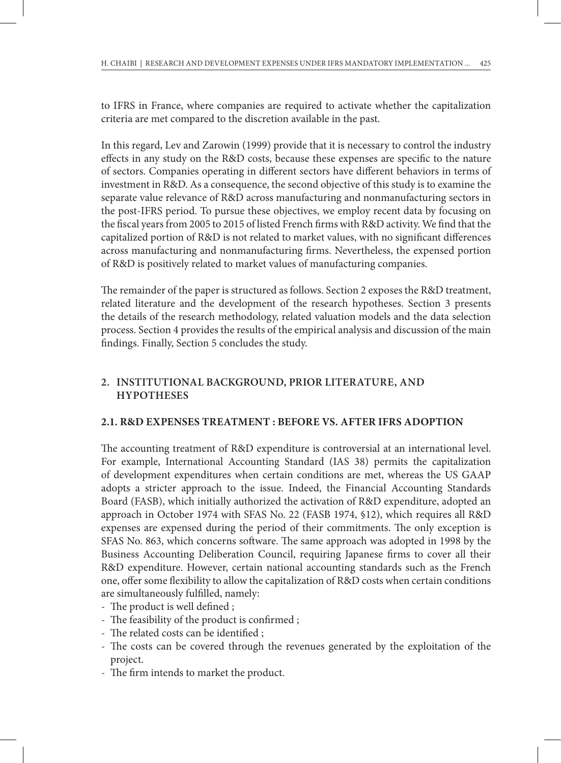to IFRS in France, where companies are required to activate whether the capitalization criteria are met compared to the discretion available in the past.

In this regard, Lev and Zarowin (1999) provide that it is necessary to control the industry effects in any study on the R&D costs, because these expenses are specific to the nature of sectors. Companies operating in different sectors have different behaviors in terms of investment in R&D. As a consequence, the second objective of this study is to examine the separate value relevance of R&D across manufacturing and nonmanufacturing sectors in the post-IFRS period. To pursue these objectives, we employ recent data by focusing on the fiscal years from 2005 to 2015 of listed French firms with R&D activity. We find that the capitalized portion of R&D is not related to market values, with no significant differences across manufacturing and nonmanufacturing firms. Nevertheless, the expensed portion of R&D is positively related to market values of manufacturing companies.

The remainder of the paper is structured as follows. Section 2 exposes the R&D treatment, related literature and the development of the research hypotheses. Section 3 presents the details of the research methodology, related valuation models and the data selection process. Section 4 provides the results of the empirical analysis and discussion of the main findings. Finally, Section 5 concludes the study.

## **2. INSTITUTIONAL BACKGROUND, PRIOR LITERATURE, AND HYPOTHESES**

## **2.1. R&D EXPENSES TREATMENT : BEFORE VS. AFTER IFRS ADOPTION**

The accounting treatment of R&D expenditure is controversial at an international level. For example, International Accounting Standard (IAS 38) permits the capitalization of development expenditures when certain conditions are met, whereas the US GAAP adopts a stricter approach to the issue. Indeed, the Financial Accounting Standards Board (FASB), which initially authorized the activation of R&D expenditure, adopted an approach in October 1974 with SFAS No. 22 (FASB 1974, §12), which requires all R&D expenses are expensed during the period of their commitments. The only exception is SFAS No. 863, which concerns software. The same approach was adopted in 1998 by the Business Accounting Deliberation Council, requiring Japanese firms to cover all their R&D expenditure. However, certain national accounting standards such as the French one, offer some flexibility to allow the capitalization of R&D costs when certain conditions are simultaneously fulfilled, namely:

- The product is well defined ;
- The feasibility of the product is confirmed ;
- The related costs can be identified ;
- The costs can be covered through the revenues generated by the exploitation of the project.
- The firm intends to market the product.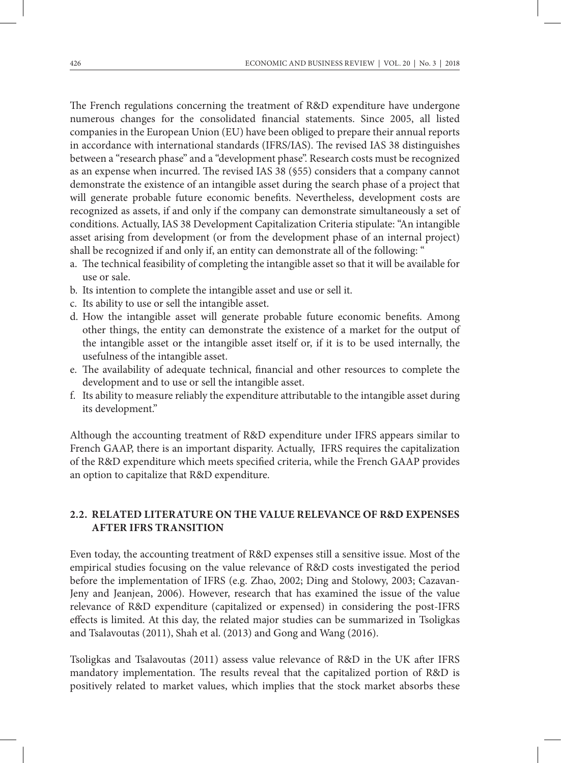The French regulations concerning the treatment of R&D expenditure have undergone numerous changes for the consolidated financial statements. Since 2005, all listed companies in the European Union (EU) have been obliged to prepare their annual reports in accordance with international standards (IFRS/IAS). The revised IAS 38 distinguishes between a "research phase" and a "development phase". Research costs must be recognized as an expense when incurred. The revised IAS 38 (§55) considers that a company cannot demonstrate the existence of an intangible asset during the search phase of a project that will generate probable future economic benefits. Nevertheless, development costs are recognized as assets, if and only if the company can demonstrate simultaneously a set of conditions. Actually, IAS 38 Development Capitalization Criteria stipulate: "An intangible asset arising from development (or from the development phase of an internal project) shall be recognized if and only if, an entity can demonstrate all of the following: "

- a. The technical feasibility of completing the intangible asset so that it will be available for use or sale.
- b. Its intention to complete the intangible asset and use or sell it.
- c. Its ability to use or sell the intangible asset.
- d. How the intangible asset will generate probable future economic benefits. Among other things, the entity can demonstrate the existence of a market for the output of the intangible asset or the intangible asset itself or, if it is to be used internally, the usefulness of the intangible asset.
- e. The availability of adequate technical, financial and other resources to complete the development and to use or sell the intangible asset.
- f. Its ability to measure reliably the expenditure attributable to the intangible asset during its development."

Although the accounting treatment of R&D expenditure under IFRS appears similar to French GAAP, there is an important disparity. Actually, IFRS requires the capitalization of the R&D expenditure which meets specified criteria, while the French GAAP provides an option to capitalize that R&D expenditure.

## **2.2. RELATED LITERATURE ON THE VALUE RELEVANCE OF R&D EXPENSES AFTER IFRS TRANSITION**

Even today, the accounting treatment of R&D expenses still a sensitive issue. Most of the empirical studies focusing on the value relevance of R&D costs investigated the period before the implementation of IFRS (e.g. Zhao, 2002; Ding and Stolowy, 2003; Cazavan-Jeny and Jeanjean, 2006). However, research that has examined the issue of the value relevance of R&D expenditure (capitalized or expensed) in considering the post-IFRS effects is limited. At this day, the related major studies can be summarized in Tsoligkas and Tsalavoutas (2011), Shah et al. (2013) and Gong and Wang (2016).

Tsoligkas and Tsalavoutas (2011) assess value relevance of R&D in the UK after IFRS mandatory implementation. The results reveal that the capitalized portion of R&D is positively related to market values, which implies that the stock market absorbs these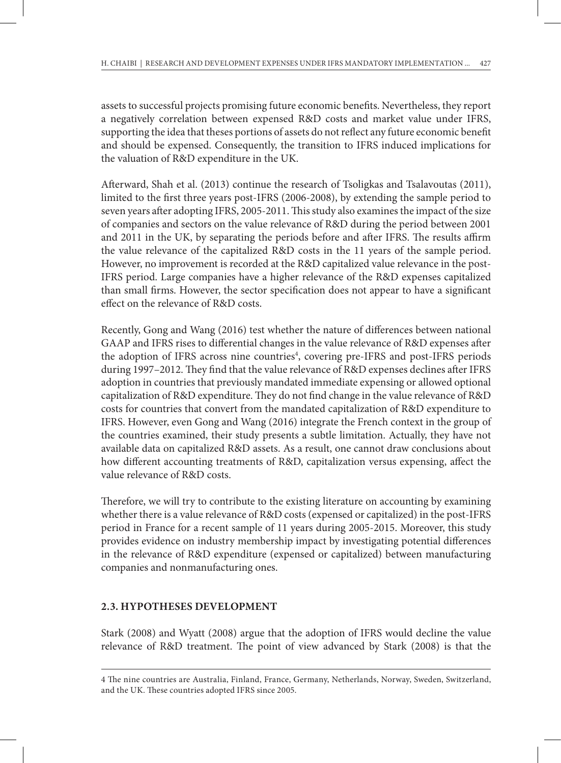assets to successful projects promising future economic benefits. Nevertheless, they report a negatively correlation between expensed R&D costs and market value under IFRS, supporting the idea that theses portions of assets do not reflect any future economic benefit and should be expensed. Consequently, the transition to IFRS induced implications for the valuation of R&D expenditure in the UK.

Afterward, Shah et al. (2013) continue the research of Tsoligkas and Tsalavoutas (2011), limited to the first three years post-IFRS (2006-2008), by extending the sample period to seven years after adopting IFRS, 2005-2011. This study also examines the impact of the size of companies and sectors on the value relevance of R&D during the period between 2001 and 2011 in the UK, by separating the periods before and after IFRS. The results affirm the value relevance of the capitalized R&D costs in the 11 years of the sample period. However, no improvement is recorded at the R&D capitalized value relevance in the post-IFRS period. Large companies have a higher relevance of the R&D expenses capitalized than small firms. However, the sector specification does not appear to have a significant effect on the relevance of R&D costs.

Recently, Gong and Wang (2016) test whether the nature of differences between national GAAP and IFRS rises to differential changes in the value relevance of R&D expenses after the adoption of IFRS across nine countries<sup>4</sup>, covering pre-IFRS and post-IFRS periods during 1997–2012. They find that the value relevance of R&D expenses declines after IFRS adoption in countries that previously mandated immediate expensing or allowed optional capitalization of R&D expenditure. They do not find change in the value relevance of R&D costs for countries that convert from the mandated capitalization of R&D expenditure to IFRS. However, even Gong and Wang (2016) integrate the French context in the group of the countries examined, their study presents a subtle limitation. Actually, they have not available data on capitalized R&D assets. As a result, one cannot draw conclusions about how different accounting treatments of R&D, capitalization versus expensing, affect the value relevance of R&D costs.

Therefore, we will try to contribute to the existing literature on accounting by examining whether there is a value relevance of R&D costs (expensed or capitalized) in the post-IFRS period in France for a recent sample of 11 years during 2005-2015. Moreover, this study provides evidence on industry membership impact by investigating potential differences in the relevance of R&D expenditure (expensed or capitalized) between manufacturing companies and nonmanufacturing ones.

## **2.3. HYPOTHESES DEVELOPMENT**

Stark (2008) and Wyatt (2008) argue that the adoption of IFRS would decline the value relevance of R&D treatment. The point of view advanced by Stark (2008) is that the

<sup>4</sup> The nine countries are Australia, Finland, France, Germany, Netherlands, Norway, Sweden, Switzerland, and the UK. These countries adopted IFRS since 2005.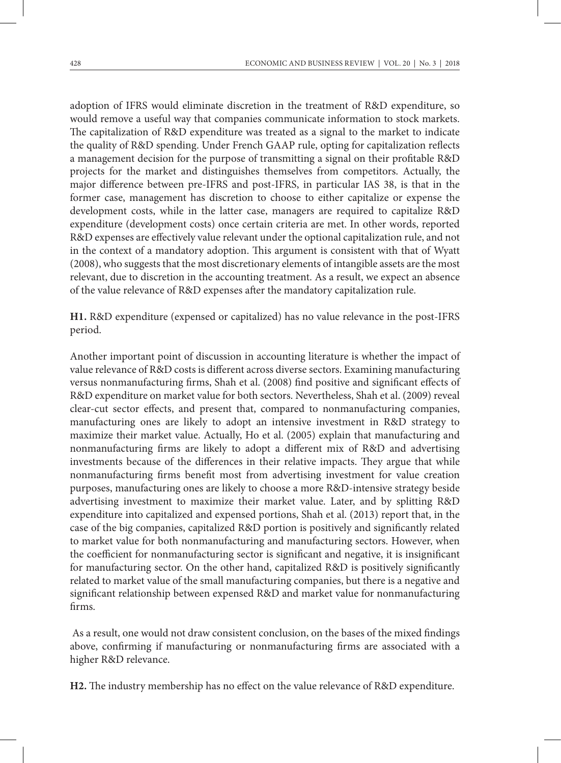adoption of IFRS would eliminate discretion in the treatment of R&D expenditure, so would remove a useful way that companies communicate information to stock markets. The capitalization of R&D expenditure was treated as a signal to the market to indicate the quality of R&D spending. Under French GAAP rule, opting for capitalization reflects a management decision for the purpose of transmitting a signal on their profitable R&D projects for the market and distinguishes themselves from competitors. Actually, the major difference between pre-IFRS and post-IFRS, in particular IAS 38, is that in the former case, management has discretion to choose to either capitalize or expense the development costs, while in the latter case, managers are required to capitalize R&D expenditure (development costs) once certain criteria are met. In other words, reported R&D expenses are effectively value relevant under the optional capitalization rule, and not in the context of a mandatory adoption. This argument is consistent with that of Wyatt (2008), who suggests that the most discretionary elements of intangible assets are the most relevant, due to discretion in the accounting treatment. As a result, we expect an absence of the value relevance of R&D expenses after the mandatory capitalization rule.

**H1.** R&D expenditure (expensed or capitalized) has no value relevance in the post-IFRS period.

Another important point of discussion in accounting literature is whether the impact of value relevance of R&D costs is different across diverse sectors. Examining manufacturing versus nonmanufacturing firms, Shah et al. (2008) find positive and significant effects of R&D expenditure on market value for both sectors. Nevertheless, Shah et al. (2009) reveal clear-cut sector effects, and present that, compared to nonmanufacturing companies, manufacturing ones are likely to adopt an intensive investment in R&D strategy to maximize their market value. Actually, Ho et al. (2005) explain that manufacturing and nonmanufacturing firms are likely to adopt a different mix of R&D and advertising investments because of the differences in their relative impacts. They argue that while nonmanufacturing firms benefit most from advertising investment for value creation purposes, manufacturing ones are likely to choose a more R&D-intensive strategy beside advertising investment to maximize their market value. Later, and by splitting R&D expenditure into capitalized and expensed portions, Shah et al. (2013) report that, in the case of the big companies, capitalized R&D portion is positively and significantly related to market value for both nonmanufacturing and manufacturing sectors. However, when the coefficient for nonmanufacturing sector is significant and negative, it is insignificant for manufacturing sector. On the other hand, capitalized R&D is positively significantly related to market value of the small manufacturing companies, but there is a negative and significant relationship between expensed R&D and market value for nonmanufacturing firms.

 As a result, one would not draw consistent conclusion, on the bases of the mixed findings above, confirming if manufacturing or nonmanufacturing firms are associated with a higher R&D relevance.

**H2.** The industry membership has no effect on the value relevance of R&D expenditure.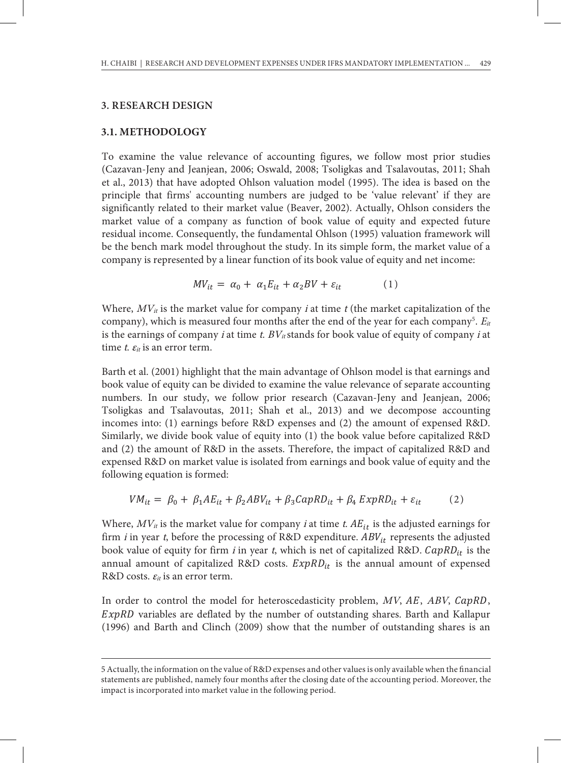#### **3. RESEARCH DESIGN**

#### **3.1. METHODOLOGY 1**

To examine the value relevance of accounting figures, we follow most prior studies (Cazavan-Jeny and Jeanjean, 2006; Oswald, 2008; Tsoligkas and Tsalavoutas, 2011; Shah et al., 2013) that have adopted Ohlson valuation model (1995). The idea is based on the principle that firms' accounting numbers are judged to be 'value relevant' if they are significantly related to their market value (Beaver, 2002). Actually, Ohlson considers the market value of a company as function of book value of equity and expected future residual income. Consequently, the fundamental Ohlson (1995) valuation framework will be the bench mark model throughout the study. In its simple form, the market value of a company is represented by a linear function of its book value of equity and net income:

$$
MV_{it} = \alpha_0 + \alpha_1 E_{it} + \alpha_2 BV + \varepsilon_{it} \tag{1}
$$

Where,  $MV_{it}$  is the market value for company *i* at time *t* (the market capitalization of the company), which is measured four months after the end of the year for each company<sup>5</sup>.  $E_{it}$ is the earnings of company *i* at time t.  $BV_{it}$  stands for book value of equity of company *i* at time t.  $\varepsilon_{it}$  is an error term.

Barth et al. (2001) highlight that the main advantage of Ohlson model is that earnings and book value of equity can be divided to examine the value relevance of separate accounting numbers. In our study, we follow prior research (Cazavan-Jeny and Jeanjean, 2006; Tsoligkas and Tsalavoutas, 2011; Shah et al., 2013) and we decompose accounting incomes into: (1) earnings before R&D expenses and (2) the amount of expensed R&D. Similarly, we divide book value of equity into (1) the book value before capitalized R&D and (2) the amount of R&D in the assets. Therefore, the impact of capitalized R&D and expensed R&D on market value is isolated from earnings and book value of equity and the following equation is formed:

$$
VM_{it} = \beta_0 + \beta_1 AE_{it} + \beta_2 ABV_{it} + \beta_3 CapRD_{it} + \beta_4 ExpRD_{it} + \varepsilon_{it}
$$
 (2)

Where,  $MV_{it}$  is the market value for company *i* at time *t*.  $AE_{it}$  is the adjusted earnings for firm *i* in year *t*, before the processing of R&D expenditure.  $ABV_{it}$  represents the adjusted book value of equity for firm i in year t, which is net of capitalized R&D.  $CapRD_{it}$  is the annual amount of capitalized R&D costs.  $ExpRD_{it}$  is the annual amount of expensed R&D costs.  $\varepsilon_{it}$  is an error term.

In order to control the model for heteroscedasticity problem,  $MV$ ,  $AE$ ,  $ABV$ ,  $CapRD$ ,  $ExpRD$  variables are deflated by the number of outstanding shares. Barth and Kallapur (1996) and Barth and Clinch (2009) show that the number of outstanding shares is an

<sup>5</sup> Actually, the information on the value of R&D expenses and other values is only available when the financial <sup>4</sup> Actually, the information on the value of R&D expenses and other values is only available when the financial statements are published, namely statements are published, namely four months after the closing date of the accounting period. Moreover, the impact is incorporated into market value in the following period. 8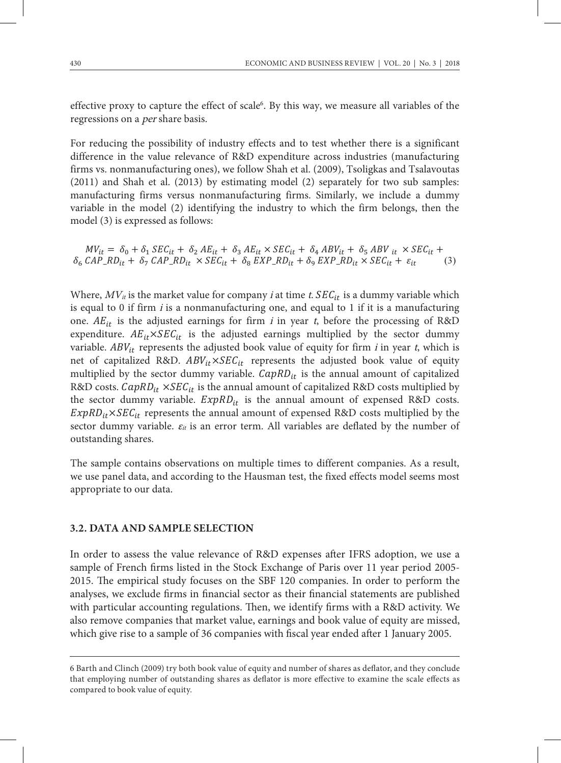effective proxy to capture the effect of scale<sup>6</sup>. By this way, we measure all variables of the regressions on a per share basis.

For reducing the possibility of industry effects and to test whether there is a significant difference in the value relevance of R&D expenditure across industries (manufacturing firms vs. nonmanufacturing ones), we follow Shah et al. (2009), Tsoligkas and Tsalavoutas (2011) and Shah et al. (2013) by estimating model (2) separately for two sub samples: manufacturing firms versus nonmanufacturing firms. Similarly, we include a dummy variable in the model (2) identifying the industry to which the firm belongs, then the model (3) is expressed as follows: ror requeir versus non-model  $\epsilon$  is  $\epsilon$  included a dummy variable include a dummin variable in the model (2) is expressed as follows.

 $MV_{it} = \delta_0 + \delta_1 SEC_{it} + \delta_2 AE_{it} + \delta_3 AE_{it} \times SEC_{it} + \delta_4 ABV_{it} + \delta_5 ABV_{it} \times SEC_{it} +$  $\delta_6$  CAP\_RD<sub>it</sub> +  $\delta_7$  CAP\_RD<sub>it</sub>  $\times$  SEC<sub>it</sub> +  $\delta_8$  EXP\_RD<sub>it</sub> +  $\delta_9$  EXP\_RD<sub>it</sub>  $\times$  SEC<sub>it</sub> +  $\varepsilon_{it}$  (3)

Where,  $MV_{it}$  is the market value for company *i* at time *t*.  $SEC_{it}$  is a dummy variable which is equal to 0 if firm  $i$  is a nonmanufacturing one, and equal to 1 if it is a manufacturing one.  $AE_{it}$  is the adjusted earnings for firm i in year t, before the processing of R&D expenditure.  $AE_{it} \times SEC_{it}$  is the adjusted earnings multiplied by the sector dummy variable.  $ABV_{it}$  represents the adjusted book value of equity for firm *i* in year *t*, which is variable.  $ABV_{it}$  represents the adjusted book value of equity for firm *i* in year *t*, which is net of capitalized R&D.  $ABV_{it} \times SEC_{it}$  represents the adjusted book value of equity multiplied by the sector dummy variable.  $\mathit{CapRD}_{it}$  is the annual amount of capitalized R&D costs.  $\mathit{CapRD}_{it} \times \mathit{SEC}_{it}$  is the annual amount of capitalized R&D costs multiplied by the sector dummy variable.  $ExpRD_{it}$  is the annual amount of expensed R&D costs.  $ExpRD_{it} \times SEC_{it}$  represents the annual amount of expensed R&D costs multiplied by the sector dummy variable.  $\varepsilon_{it}$  is an error term. All variables are deflated by the number of outstanding shares. variable. Ab  $v_{it}$  represents the anjusted book value of equity for  $\lim_{t \to \infty} \lim_{t \to \infty} v_{it}$  which is we use  $\mathbf{u}_i$  which  $\mathbf{u}_i$  is an error term,  $\mathbf{m}_i$  variables are defined by the finition of

The sample contains observations on multiple times to different companies. As a result, we use panel data, and according to the Hausman test, the fixed effects model seems most appropriate to our data.  $\overline{\phantom{a}}$ 

#### **3.2. DATA AND SAMPLE SELECTION** regulations. The matrix we identify firms with a R&D activity. We also remove that matrix  $\mathbf{r}$

effects as compared to book value of equity.

In order to assess the value relevance of R&D expenses after IFRS adoption, we use a sample of French firms listed in the Stock Exchange of Paris over 11 year period 2005-2015. The empirical study focuses on the SBF 120 companies. In order to perform the analyses, we exclude firms in financial sector as their financial statements are published with particular accounting regulations. Then, we identify firms with a R&D activity. We also remove companies that market value, earnings and book value of equity are missed, which give rise to a sample of 36 companies with fiscal year ended after 1 January 2005. In order to assess the value relevance of conclude that employing number of outstanding shares as defined shares as defined the scale

<sup>6</sup> Barth and Clinch (2009) try both book value of equity and number of shares as deflator, and they conclude 8 that employing number of outstanding shares as deflator is more effective to examine the scale effects as compared to book value of equity.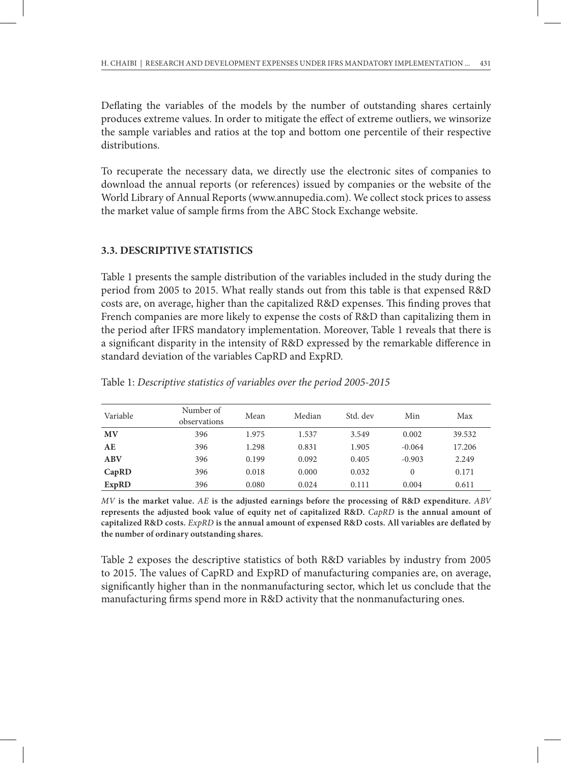Deflating the variables of the models by the number of outstanding shares certainly produces extreme values. In order to mitigate the effect of extreme outliers, we winsorize the sample variables and ratios at the top and bottom one percentile of their respective distributions.

To recuperate the necessary data, we directly use the electronic sites of companies to download the annual reports (or references) issued by companies or the website of the World Library of Annual Reports (www.annupedia.com). We collect stock prices to assess the market value of sample firms from the ABC Stock Exchange website.

## **3.3. DESCRIPTIVE STATISTICS**

Table 1 presents the sample distribution of the variables included in the study during the period from 2005 to 2015. What really stands out from this table is that expensed R&D costs are, on average, higher than the capitalized R&D expenses. This finding proves that French companies are more likely to expense the costs of R&D than capitalizing them in the period after IFRS mandatory implementation. Moreover, Table 1 reveals that there is a significant disparity in the intensity of R&D expressed by the remarkable difference in standard deviation of the variables CapRD and ExpRD.

| Variable   | Number of<br>observations | Mean  | Median | Std. dev | Min      | Max    |
|------------|---------------------------|-------|--------|----------|----------|--------|
| <b>MV</b>  | 396                       | 1.975 | 1.537  | 3.549    | 0.002    | 39.532 |
| AЕ         | 396                       | 1.298 | 0.831  | 1.905    | $-0.064$ | 17.206 |
| <b>ABV</b> | 396                       | 0.199 | 0.092  | 0.405    | $-0.903$ | 2.249  |
| CapRD      | 396                       | 0.018 | 0.000  | 0.032    | $\Omega$ | 0.171  |
| ExpRD      | 396                       | 0.080 | 0.024  | 0.111    | 0.004    | 0.611  |

Table 1: *Descriptive statistics of variables over the period 2005-2015*

*MV* **is the market value.** *AE* **is the adjusted earnings before the processing of R&D expenditure.** *ABV* **represents the adjusted book value of equity net of capitalized R&D.** *CapRD* **is the annual amount of capitalized R&D costs.** *ExpRD* **is the annual amount of expensed R&D costs. All variables are deflated by the number of ordinary outstanding shares.**

Table 2 exposes the descriptive statistics of both R&D variables by industry from 2005 to 2015. The values of CapRD and ExpRD of manufacturing companies are, on average, significantly higher than in the nonmanufacturing sector, which let us conclude that the manufacturing firms spend more in R&D activity that the nonmanufacturing ones.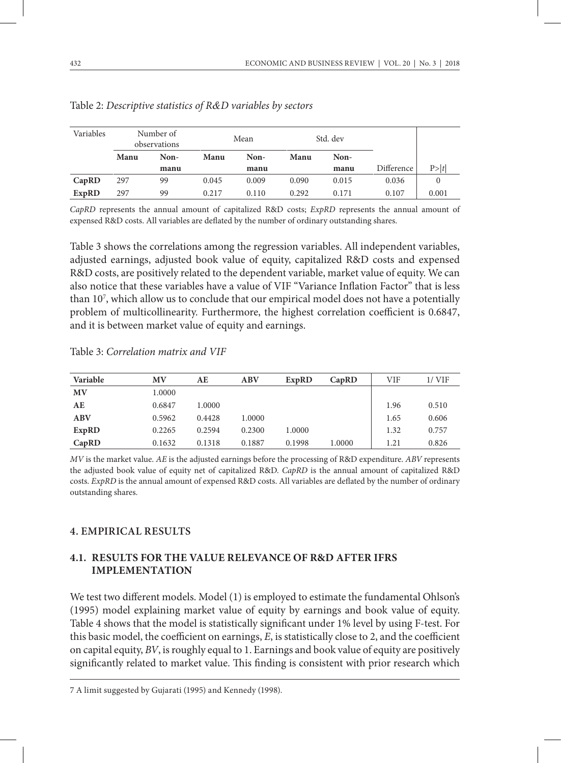| Variables |      | Number of<br>observations | Mean  |       | Std. dev |       |            |       |
|-----------|------|---------------------------|-------|-------|----------|-------|------------|-------|
|           | Manu | Non-                      | Manu  | Non-  | Manu     | Non-  |            |       |
|           |      | manu                      |       | manu  |          | manu  | Difference | P> t  |
| CapRD     | 297  | 99                        | 0.045 | 0.009 | 0.090    | 0.015 | 0.036      | 0     |
| ExpRD     | 297  | 99                        | 0.217 | 0.110 | 0.292    | 0.171 | 0.107      | 0.001 |

Table 2: *Descriptive statistics of R&D variables by sectors*

*CapRD* represents the annual amount of capitalized R&D costs; *ExpRD* represents the annual amount of expensed R&D costs. All variables are deflated by the number of ordinary outstanding shares.

Table 3 shows the correlations among the regression variables. All independent variables, adjusted earnings, adjusted book value of equity, capitalized R&D costs and expensed R&D costs, are positively related to the dependent variable, market value of equity. We can also notice that these variables have a value of VIF "Variance Inflation Factor" that is less than 107 , which allow us to conclude that our empirical model does not have a potentially problem of multicollinearity. Furthermore, the highest correlation coefficient is 0.6847, and it is between market value of equity and earnings.

| Variable | <b>MV</b> | AЕ     | ABV    | <b>ExpRD</b> | CapRD  | VIF  | $1/$ VIF |
|----------|-----------|--------|--------|--------------|--------|------|----------|
| MV       | 1.0000    |        |        |              |        |      |          |
| AЕ       | 0.6847    | 1.0000 |        |              |        | 1.96 | 0.510    |
| ABV      | 0.5962    | 0.4428 | 1.0000 |              |        | 1.65 | 0.606    |
| ExpRD    | 0.2265    | 0.2594 | 0.2300 | 1.0000       |        | 1.32 | 0.757    |
| CapRD    | 0.1632    | 0.1318 | 0.1887 | 0.1998       | 1.0000 | 1.21 | 0.826    |

Table 3: *Correlation matrix and VIF*

*MV* is the market value. *AE* is the adjusted earnings before the processing of R&D expenditure. *ABV* represents the adjusted book value of equity net of capitalized R&D. *CapRD* is the annual amount of capitalized R&D costs. *ExpRD* is the annual amount of expensed R&D costs. All variables are deflated by the number of ordinary outstanding shares.

## **4. EMPIRICAL RESULTS**

## **4.1. RESULTS FOR THE VALUE RELEVANCE OF R&D AFTER IFRS IMPLEMENTATION**

We test two different models. Model (1) is employed to estimate the fundamental Ohlson's (1995) model explaining market value of equity by earnings and book value of equity. Table 4 shows that the model is statistically significant under 1% level by using F-test. For this basic model, the coefficient on earnings, *E*, is statistically close to 2, and the coefficient on capital equity, *BV*, is roughly equal to 1. Earnings and book value of equity are positively significantly related to market value. This finding is consistent with prior research which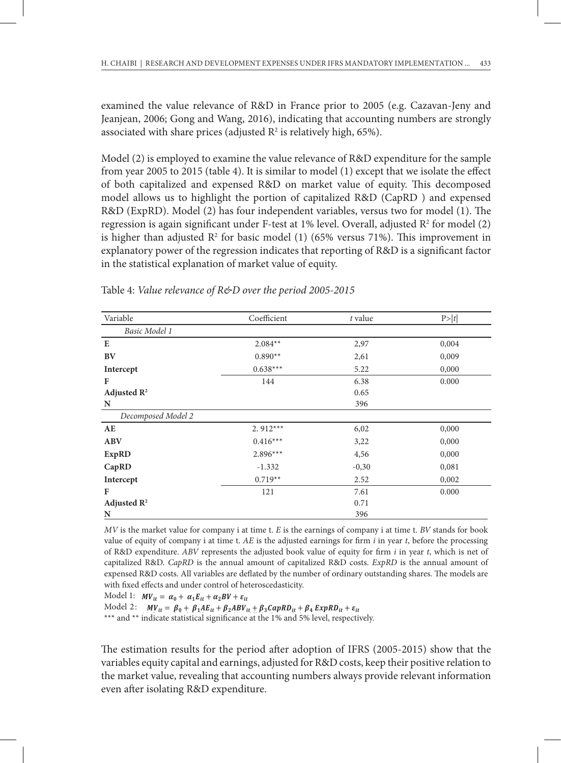examined the value relevance of R&D in France prior to 2005 (e.g. Cazavan-Jeny and Jeanjean, 2006; Gong and Wang, 2016), indicating that accounting numbers are strongly associated with share prices (adjusted  $\mathbb{R}^2$  is relatively high, 65%).

Model (2) is employed to examine the value relevance of R&D expenditure for the sample from year 2005 to 2015 (table 4). It is similar to model (1) except that we isolate the effect of both capitalized and expensed R&D on market value of equity. This decomposed model allows us to highlight the portion of capitalized R&D (CapRD ) and expensed R&D (ExpRD). Model (2) has four independent variables, versus two for model (1). The regression is again significant under F-test at  $1\%$  level. Overall, adjusted  $\mathbb{R}^2$  for model (2) is higher than adjusted  $\mathbb{R}^2$  for basic model (1) (65% versus 71%). This improvement in explanatory power of the regression indicates that reporting of R&D is a significant factor in the statistical explanation of market value of equity.

| Variable                | Coefficient | t value | P> t  |  |
|-------------------------|-------------|---------|-------|--|
| Basic Model 1           |             |         |       |  |
| E                       | $2.084**$   | 2,97    | 0,004 |  |
| BV                      | $0.890**$   | 2,61    | 0,009 |  |
| Intercept               | $0.638***$  | 5.22    | 0,000 |  |
| F                       | 144         | 6.38    | 0.000 |  |
| Adjusted $\mathbb{R}^2$ |             | 0.65    |       |  |
| N                       |             | 396     |       |  |
| Decomposed Model 2      |             |         |       |  |
| AE                      | $2.912***$  | 6,02    | 0,000 |  |
| <b>ABV</b>              | $0.416***$  | 3,22    | 0,000 |  |
| <b>ExpRD</b>            | $2.896***$  | 4,56    | 0,000 |  |
| CapRD                   | $-1.332$    | $-0,30$ | 0,081 |  |
| Intercept               | $0.719**$   | 2.52    | 0,002 |  |
| F                       | 121         | 7.61    | 0.000 |  |
| Adjusted $\mathbb{R}^2$ |             | 0.71    |       |  |
| N                       |             | 396     |       |  |

Table 4: *Value relevance of R&D over the period 2005-2015*

MV is the market value for company i at time t. *E* is the earnings of company i at time t. *BV* stands for book value of equity of company  $i$  at time t. AE is the adjusted earnings for firm  $i$  in year  $t$ , before the processing of R&D expenditure. ABV represents the adjusted book value of equity for firm i in year t, which is net of capitalized R&D. CapRD is the annual amount of capitalized R&D costs. ExpRD is the annual amount of expensed R&D costs. All variables are deflated by the number of ordinary outstanding shares. The models are with fixed effects and under control of heteroscedasticity.

Model 1:  $MV_{it} = \alpha_0 + \alpha_1 E_{it} + \alpha_2 BV + \varepsilon_{it}$ 

Model 2:  $MV_{it} = \beta_0 + \beta_1 AE_{it} + \beta_2 ABV_{it} + \beta_3 CapRD_{it} + \beta_4 ExpRD_{it} + \varepsilon_{it}$ 

\*\*\* and \*\* indicate statistical significance at the 1% and 5% level, respectively. \*\*\* and \*\* indicate statistical significance at the 1% and 5% level, respectively.

The estimation results for the period after adoption of IFRS (2005-2015) show that the The estimation results for the period after adoption of IFRS (2005-2015) show that the variables equity capital and earnings, adjusted for R&D costs, keep their positive relation to the market value, revealing that accounting numbers always provide relevant information even after isolating R&D expenditure. extimation results for the period after adoption of IFRS (2005-2015) show to  $\epsilon$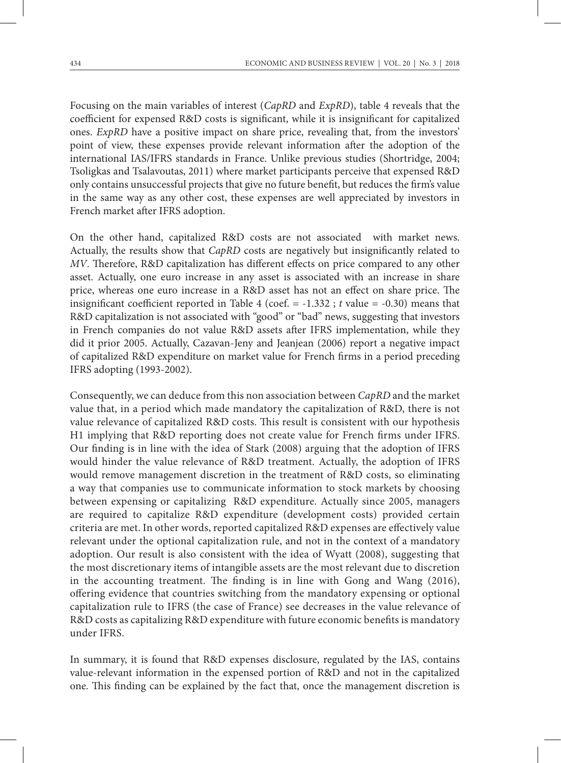Focusing on the main variables of interest (*CapRD* and *ExpRD*), table 4 reveals that the coefficient for expensed R&D costs is significant, while it is insignificant for capitalized ones. *ExpRD* have a positive impact on share price, revealing that, from the investors' point of view, these expenses provide relevant information after the adoption of the international IAS/IFRS standards in France. Unlike previous studies (Shortridge, 2004; Tsoligkas and Tsalavoutas, 2011) where market participants perceive that expensed R&D only contains unsuccessful projects that give no future benefit, but reduces the firm's value in the same way as any other cost, these expenses are well appreciated by investors in French market after IFRS adoption.

On the other hand, capitalized R&D costs are not associated with market news. Actually, the results show that *CapRD* costs are negatively but insignificantly related to *MV*. Therefore, R&D capitalization has different effects on price compared to any other asset. Actually, one euro increase in any asset is associated with an increase in share price, whereas one euro increase in a R&D asset has not an effect on share price. The insignificant coefficient reported in Table 4 (coef. = -1.332 ; *t* value = -0.30) means that R&D capitalization is not associated with "good" or "bad" news, suggesting that investors in French companies do not value R&D assets after IFRS implementation, while they did it prior 2005. Actually, Cazavan-Jeny and Jeanjean (2006) report a negative impact of capitalized R&D expenditure on market value for French firms in a period preceding IFRS adopting (1993-2002).

Consequently, we can deduce from this non association between *CapRD* and the market value that, in a period which made mandatory the capitalization of R&D, there is not value relevance of capitalized R&D costs. This result is consistent with our hypothesis H1 implying that R&D reporting does not create value for French firms under IFRS. Our finding is in line with the idea of Stark (2008) arguing that the adoption of IFRS would hinder the value relevance of R&D treatment. Actually, the adoption of IFRS would remove management discretion in the treatment of R&D costs, so eliminating a way that companies use to communicate information to stock markets by choosing between expensing or capitalizing R&D expenditure. Actually since 2005, managers are required to capitalize R&D expenditure (development costs) provided certain criteria are met. In other words, reported capitalized R&D expenses are effectively value relevant under the optional capitalization rule, and not in the context of a mandatory adoption. Our result is also consistent with the idea of Wyatt (2008), suggesting that the most discretionary items of intangible assets are the most relevant due to discretion in the accounting treatment. The finding is in line with Gong and Wang (2016), offering evidence that countries switching from the mandatory expensing or optional capitalization rule to IFRS (the case of France) see decreases in the value relevance of R&D costs as capitalizing R&D expenditure with future economic benefits is mandatory under IFRS.

In summary, it is found that R&D expenses disclosure, regulated by the IAS, contains value-relevant information in the expensed portion of R&D and not in the capitalized one. This finding can be explained by the fact that, once the management discretion is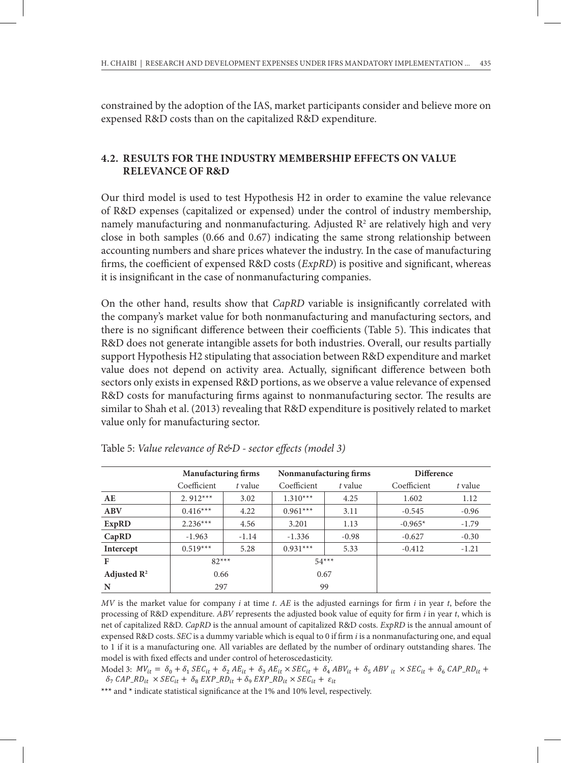constrained by the adoption of the IAS, market participants consider and believe more on expensed R&D costs than on the capitalized R&D expenditure.

## **4.2. RESULTS FOR THE INDUSTRY MEMBERSHIP EFFECTS ON VALUE RELEVANCE OF R&D**

Our third model is used to test Hypothesis H2 in order to examine the value relevance of R&D expenses (capitalized or expensed) under the control of industry membership, namely manufacturing and nonmanufacturing. Adjusted R<sup>2</sup> are relatively high and very close in both samples (0.66 and 0.67) indicating the same strong relationship between accounting numbers and share prices whatever the industry. In the case of manufacturing firms, the coefficient of expensed R&D costs (*ExpRD*) is positive and significant, whereas it is insignificant in the case of nonmanufacturing companies.

On the other hand, results show that *CapRD* variable is insignificantly correlated with the company's market value for both nonmanufacturing and manufacturing sectors, and there is no significant difference between their coefficients (Table 5). This indicates that R&D does not generate intangible assets for both industries. Overall, our results partially support Hypothesis H2 stipulating that association between R&D expenditure and market value does not depend on activity area. Actually, significant difference between both sectors only exists in expensed R&D portions, as we observe a value relevance of expensed R&D costs for manufacturing firms against to nonmanufacturing sector. The results are similar to Shah et al. (2013) revealing that R&D expenditure is positively related to market value only for manufacturing sector. portions, as we observe a value relevance of expensed R&D costs for manufacturing firms

|                         | <b>Manufacturing firms</b> |         |             | Nonmanufacturing firms | <b>Difference</b> |         |
|-------------------------|----------------------------|---------|-------------|------------------------|-------------------|---------|
|                         | Coefficient                | t value | Coefficient | t value                | Coefficient       | t value |
| AE                      | $2.912***$                 | 3.02    | $1.310***$  | 4.25                   | 1.602             | 1.12    |
| <b>ABV</b>              | $0.416***$                 | 4.22    | $0.961***$  | 3.11                   | $-0.545$          | $-0.96$ |
| ExpRD                   | $2.236***$                 | 4.56    | 3.201       | 1.13                   | $-0.965*$         | $-1.79$ |
| CapRD                   | $-1.963$                   | $-1.14$ | $-1.336$    | $-0.98$                | $-0.627$          | $-0.30$ |
| Intercept               | $0.519***$                 | 5.28    | $0.931***$  | 5.33                   | $-0.412$          | $-1.21$ |
| F                       | $82***$                    |         | $54***$     |                        |                   |         |
| Adjusted $\mathbb{R}^2$ | 0.66                       |         | 0.67        |                        |                   |         |
| N                       | 297                        |         | 99          |                        |                   |         |

Table 5: *Value relevance of R&D - sector effects (model 3)* R&D experience is provided to make the matter of matter value of matter value of matter value of manufacturing sector.

 $MV$  is the market value for company  $i$  at time  $t$ .  $AE$  is the adjusted earnings for firm  $i$  in year  $t$ , before the processing of R&D expenditure. ABV represents the adjusted book value of equity for firm *i* in year *t*, which is net of capitalized R&D. CapRD is the annual amount of capitalized R&D costs. ExpRD is the annual amount of expensed R&D costs. SEC is a dummy variable which is equal to 0 if firm *i* is a nonmanufacturing one, and equal to 1 if it is a manufacturing one. All variables are deflated by the number of ordinary outstanding shares. The model is with fixed effects and under control of heteroscedasticity.

Model 3:  $MV_{it} = \delta_0 + \delta_1 \, SEC_{it} + \delta_2 \, AE_{it} + \delta_3 \, AE_{it} \times SEC_{it} + \delta_4 \, ABV_{it} + \delta_5 \, ABV_{it} \times SEC_{it} + \delta_6 \, CAP\_RD_{it} + \delta_7 \, BEC_{it} + \delta_8 \, BEC_{it} + \delta_9 \, ABV_{it} + \delta_9 \, ABV_{it} + \delta_9 \, BEC_{it} + \delta_1 \, ABV_{it} + \delta_9 \, ABV_{it} + \delta_9 \, ABV_{it} + \delta_9 \, ABV_{it} + \delta_9 \, ABV$  $\delta_7$  CAP\_RD<sub>it</sub>  $\times$  SEC<sub>it</sub> +  $\delta_8$  EXP\_RD<sub>it</sub> +  $\delta_9$  EXP\_RD<sub>it</sub>  $\times$  SEC<sub>it</sub> +  $\varepsilon_{it}$ 

**\*\*\*** and **\*** indicate statistical significance at the 1% and 10% level, respectively. \*\*\* and \* indicate statistical significance at the 1% and 10% level, respectively.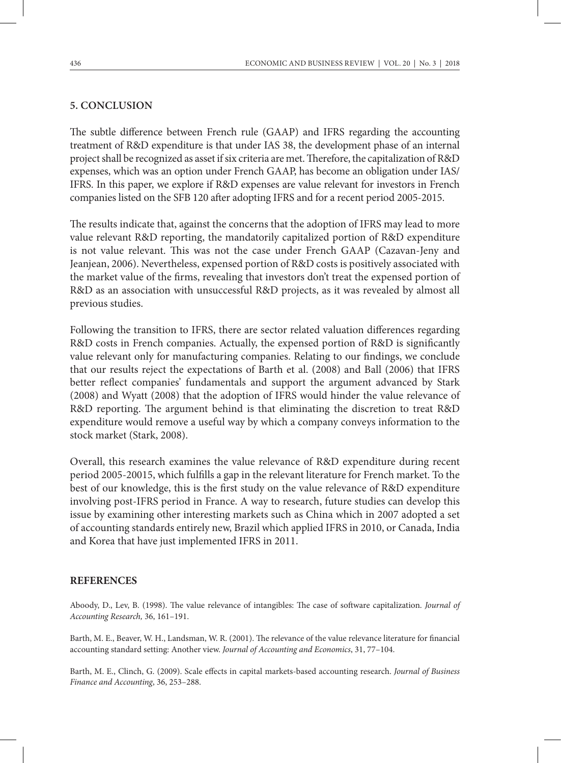### **5. CONCLUSION**

The subtle difference between French rule (GAAP) and IFRS regarding the accounting treatment of R&D expenditure is that under IAS 38, the development phase of an internal project shall be recognized as asset if six criteria are met. Therefore, the capitalization of R&D expenses, which was an option under French GAAP, has become an obligation under IAS/ IFRS. In this paper, we explore if R&D expenses are value relevant for investors in French companies listed on the SFB 120 after adopting IFRS and for a recent period 2005-2015.

The results indicate that, against the concerns that the adoption of IFRS may lead to more value relevant R&D reporting, the mandatorily capitalized portion of R&D expenditure is not value relevant. This was not the case under French GAAP (Cazavan-Jeny and Jeanjean, 2006). Nevertheless, expensed portion of R&D costs is positively associated with the market value of the firms, revealing that investors don't treat the expensed portion of R&D as an association with unsuccessful R&D projects, as it was revealed by almost all previous studies.

Following the transition to IFRS, there are sector related valuation differences regarding R&D costs in French companies. Actually, the expensed portion of R&D is significantly value relevant only for manufacturing companies. Relating to our findings, we conclude that our results reject the expectations of Barth et al. (2008) and Ball (2006) that IFRS better reflect companies' fundamentals and support the argument advanced by Stark (2008) and Wyatt (2008) that the adoption of IFRS would hinder the value relevance of R&D reporting. The argument behind is that eliminating the discretion to treat R&D expenditure would remove a useful way by which a company conveys information to the stock market (Stark, 2008).

Overall, this research examines the value relevance of R&D expenditure during recent period 2005-20015, which fulfills a gap in the relevant literature for French market. To the best of our knowledge, this is the first study on the value relevance of R&D expenditure involving post-IFRS period in France. A way to research, future studies can develop this issue by examining other interesting markets such as China which in 2007 adopted a set of accounting standards entirely new, Brazil which applied IFRS in 2010, or Canada, India and Korea that have just implemented IFRS in 2011.

#### **REFERENCES**

Aboody, D., Lev, B. (1998). The value relevance of intangibles: The case of software capitalization. *Journal of Accounting Research,* 36, 161–191.

Barth, M. E., Beaver, W. H., Landsman, W. R. (2001). The relevance of the value relevance literature for financial accounting standard setting: Another view. *Journal of Accounting and Economics*, 31, 77–104.

Barth, M. E., Clinch, G. (2009). Scale effects in capital markets-based accounting research. *Journal of Business Finance and Accounting*, 36, 253–288.